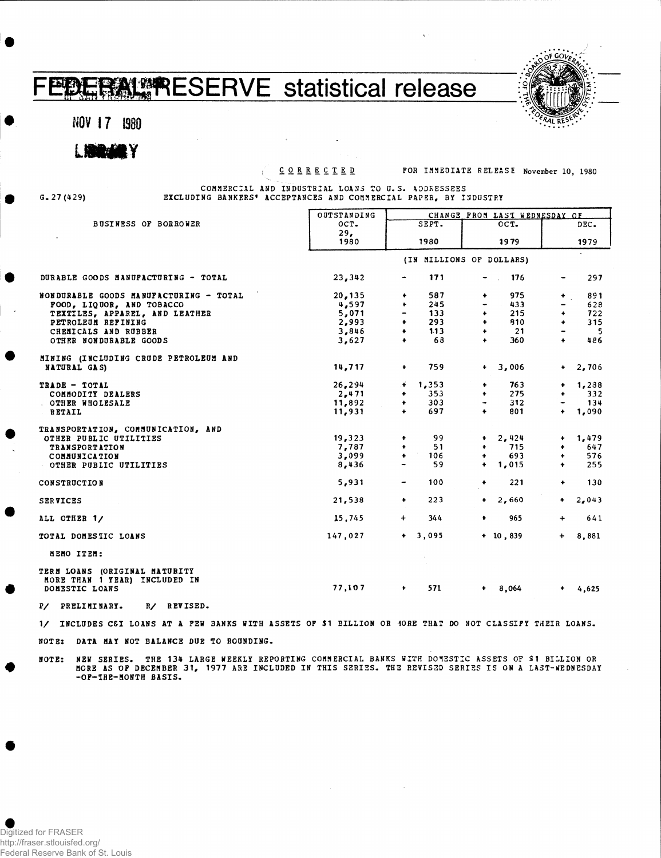## ERAL RESERVE statistical release 平砂

**NOV 1 7 1980**

**o»; .** 

**CORRECTE D FOR IMMEDIATE RELEASE November 10, 1980**

**G. 27 (429)**

**COMMERCIAL AND INDUSTRIAL LOANS TO U.S. ADDRESSEES EXCLUDING BANKERS' ACCEPTANCES AND COMMERCIAL PAPER, BY INDUSTRY**

|                                                                                  | OUTSTANDING              | CHANGE FROM LAST WEDNESDAY OF |                                 |                               |  |  |  |  |  |  |
|----------------------------------------------------------------------------------|--------------------------|-------------------------------|---------------------------------|-------------------------------|--|--|--|--|--|--|
| <b>BUSINESS OF BORROWER</b>                                                      | OCT.                     | SEPT.                         | OCT.                            | DEC.                          |  |  |  |  |  |  |
|                                                                                  | 29.                      |                               |                                 |                               |  |  |  |  |  |  |
|                                                                                  | 1980                     | 1980                          | 1979                            | 1979                          |  |  |  |  |  |  |
|                                                                                  | (IN MILLIONS OF DOLLARS) |                               |                                 |                               |  |  |  |  |  |  |
| DURABLE GOODS MANUFACTURING - TOTAL                                              | 23,342                   | 171                           | $-$ 176                         | 297                           |  |  |  |  |  |  |
| NONDURABLE GOODS MANUFACTURING - TOTAL                                           | 20,135                   | 587<br>٠                      | 975<br>$\bullet$                | 891<br>$+$ .                  |  |  |  |  |  |  |
| FOOD, LIQUOR, AND TOBACCO                                                        | 4,597                    | 245<br>٠                      | 433                             | 628                           |  |  |  |  |  |  |
| TEXTILES, APPAREL, AND LEATHER                                                   | 5,071                    | 133                           | 215<br>٠                        | 722<br>$\ddotmark$            |  |  |  |  |  |  |
| PETROLEUM REFINING                                                               | 2,993                    | $\bullet$<br>293              | $\ddot{\bullet}$<br>910         | 315<br>$\ddot{\phantom{1}}$   |  |  |  |  |  |  |
| CHEMICALS AND RUBBER                                                             | 3,846                    | 1.13<br>$\bullet$             | 21<br>$\bullet$                 | 5                             |  |  |  |  |  |  |
| OTHER NONDURABLE GOODS                                                           | 3,627                    | 68<br>$\ddot{\phantom{1}}$    | 360<br>$\ddot{\bullet}$         | 486<br>$\ddot{\bullet}$       |  |  |  |  |  |  |
| MINING (INCLUDING CRUDE PETROLEUM AND                                            |                          |                               |                                 |                               |  |  |  |  |  |  |
| NATURAL GAS)                                                                     | 14,717                   | 759<br>$\ddot{\phantom{1}}$   | $+ 3,006$                       | $+2,706$                      |  |  |  |  |  |  |
| TRADE - TOTAL                                                                    | 26,294                   | 1,353<br>.∔.                  | 763<br>٠                        | $+ 1,238$                     |  |  |  |  |  |  |
| COMMODITY DEALERS                                                                | 2,471                    | 353<br>٠                      | 275<br>$\bullet$                | 332<br>٠                      |  |  |  |  |  |  |
| OTHER WHOLESALE                                                                  | 11,892                   | 303<br>$\bullet$              | 312<br>$\overline{\phantom{a}}$ | 134                           |  |  |  |  |  |  |
| RETAIL                                                                           | 11,931                   | 697<br>$\ddot{\phantom{1}}$   | 801<br>$\ddot{\phantom{1}}$     | $+ 1,090$                     |  |  |  |  |  |  |
| TRANSPORTATION, COMMUNICATION, AND                                               |                          |                               |                                 |                               |  |  |  |  |  |  |
| OTHER PUBLIC UTILITIES                                                           | 19,323                   | 99<br>$\ddot{\phantom{1}}$    | $+ 2,424$                       | 1,479<br>$\ddot{\phantom{1}}$ |  |  |  |  |  |  |
| <b>TRANSPORTATION</b>                                                            | 7,787                    | 51<br>$\bullet$               | 715<br>$\ddot{\phantom{1}}$     | 647<br>$\ddotmark$            |  |  |  |  |  |  |
| COMMUNICATION                                                                    | 3,099                    | $\bullet$<br>106              | 693<br>$\bullet$                | 576<br>$\ddot{\phantom{1}}$   |  |  |  |  |  |  |
| OTHER PUBLIC UTILITIES                                                           | 8,436                    | 59<br>$\hbox{\small -}$       | $+ 1,015$                       | 255<br>$\ddot{\phantom{1}}$   |  |  |  |  |  |  |
| <b>CONSTRUCTION</b>                                                              | 5,931                    | 100<br>$\blacksquare$         | 221<br>$\ddot{\phantom{1}}$     | 130<br>$\ddot{\phantom{1}}$   |  |  |  |  |  |  |
| <b>SERVICES</b>                                                                  | 21,538                   | 223<br>$\ddot{\phantom{1}}$   | $+2,660$                        | 2,043<br>$\bullet$            |  |  |  |  |  |  |
| ALL OTHER 1/                                                                     | 15,745                   | 344<br>$\ddot{}$              | ٠<br>965                        | 641<br>$+$                    |  |  |  |  |  |  |
| TOTAL DOMESTIC LOANS                                                             | 147,027                  | $+ 3,095$                     | $+ 10, 839$                     | 8,881<br>$+$                  |  |  |  |  |  |  |
| MEMO ITEM:                                                                       |                          |                               |                                 |                               |  |  |  |  |  |  |
| TERM LOANS (ORIGINAL MATURITY<br>MORE THAN 1 YEAR) INCLUDED IN<br>DOMESTIC LOANS | 77,107                   | 571<br>٠                      | 8,064                           | 4,625                         |  |  |  |  |  |  |
| P/ PRELIMINARY.<br>R/ REVISED.                                                   |                          |                               |                                 |                               |  |  |  |  |  |  |

1/ INCLUDES C6I LOANS AT A PEW BANKS WITH ASSETS OF \$1 BILLION OR 10RE THAT DO NOT CLASSIFY THEIR LOANS.

**NOTE: DATA MAY NOT BALANCE DUE TO ROUNDING.**

**NOTE: NEW SERIES. THE 134 LARGE WEEKLY REPORTING COMMERCIAL BANKS WITH DOMESTIC ASSETS OF \$1 BILLION OR** MORE AS OF DECEMBER 31, 1977 ARE INCLUDED IN THIS SERIES. THE REVISED SERIES IS ON A LAST-WEDNESDAY **-OF-IHE-MONTH BASIS.**